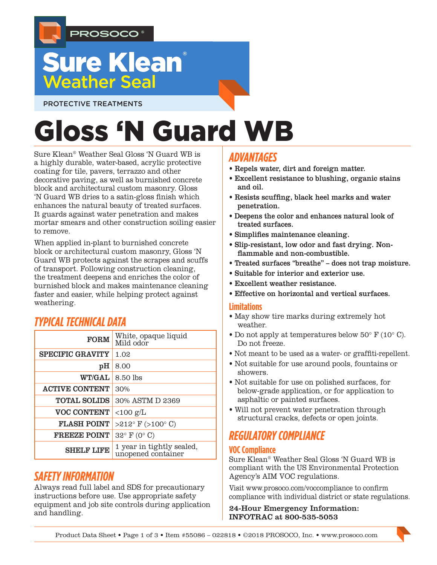

## **Sure Klean**® **Weather Seal**

PROTECTIVE TREATMENTS

# Gloss 'N Guard WB

Sure Klean® Weather Seal Gloss 'N Guard WB is a highly durable, water-based, acrylic protective coating for tile, pavers, terrazzo and other decorative paving, as well as burnished concrete block and architectural custom masonry. Gloss 'N Guard WB dries to a satin-gloss finish which enhances the natural beauty of treated surfaces. It guards against water penetration and makes mortar smears and other construction soiling easier to remove.

When applied in-plant to burnished concrete block or architectural custom masonry, Gloss 'N Guard WB protects against the scrapes and scuffs of transport. Following construction cleaning, the treatment deepens and enriches the color of burnished block and makes maintenance cleaning faster and easier, while helping protect against weathering.

## *TYPICAL TECHNICAL DATA*

| <b>FORM</b>             | White, opaque liquid<br>Mild odor               |
|-------------------------|-------------------------------------------------|
| <b>SPECIFIC GRAVITY</b> | 1.02                                            |
| pH                      | 8.00                                            |
| <b>WT/GAL</b>           | 8.50 lbs                                        |
| <b>ACTIVE CONTENT</b>   | 30%                                             |
| <b>TOTAL SOLIDS</b>     | 30% ASTM D 2369                                 |
| <b>VOC CONTENT</b>      | $<$ 100 g/L                                     |
| <b>FLASH POINT</b>      | $>212^{\circ}$ F ( $>100^{\circ}$ C)            |
| <b>FREEZE POINT</b>     | $32^{\circ}$ F (0° C)                           |
| <b>SHELF LIFE</b>       | 1 year in tightly sealed,<br>unopened container |

## *SAFETY INFORMATION*

Always read full label and SDS for precautionary instructions before use. Use appropriate safety equipment and job site controls during application and handling.

## *ADVANTAGES*

- Repels water, dirt and foreign matter.
- Excellent resistance to blushing, organic stains and oil.
- Resists scuffing, black heel marks and water penetration.
- Deepens the color and enhances natural look of treated surfaces.
- Simplifies maintenance cleaning.
- Slip-resistant, low odor and fast drying. Nonflammable and non-combustible.
- Treated surfaces "breathe" does not trap moisture.
- Suitable for interior and exterior use.
- Excellent weather resistance.
- Effective on horizontal and vertical surfaces.

#### **Limitations**

- May show tire marks during extremely hot weather.
- Do not apply at temperatures below 50° F (10° C). Do not freeze.
- Not meant to be used as a water- or graffiti-repellent.
- Not suitable for use around pools, fountains or showers.
- Not suitable for use on polished surfaces, for below-grade application, or for application to asphaltic or painted surfaces.
- Will not prevent water penetration through structural cracks, defects or open joints.

## *REGULATORY COMPLIANCE*

#### **VOC Compliance**

Sure Klean® Weather Seal Gloss 'N Guard WB is compliant with the US Environmental Protection Agency's AIM VOC regulations.

Visit www.prosoco.com/voccompliance to confirm compliance with individual district or state regulations.

24-Hour Emergency Information: INFOTRAC at 800-535-5053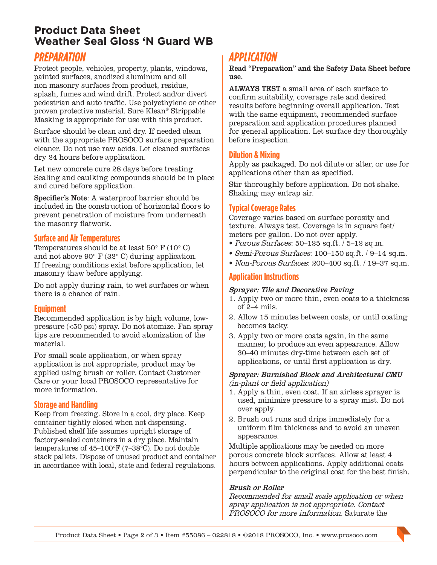## **Product Data Sheet Weather Seal Gloss 'N Guard WB**

## *PREPARATION*

Protect people, vehicles, property, plants, windows, painted surfaces, anodized aluminum and all non masonry surfaces from product, residue, splash, fumes and wind drift. Protect and/or divert pedestrian and auto traffic. Use polyethylene or other proven protective material. Sure Klean® Strippable Masking is appropriate for use with this product.

Surface should be clean and dry. If needed clean with the appropriate PROSOCO surface preparation cleaner. Do not use raw acids. Let cleaned surfaces dry 24 hours before application.

Let new concrete cure 28 days before treating. Sealing and caulking compounds should be in place and cured before application.

Specifier's Note: A waterproof barrier should be included in the construction of horizontal floors to prevent penetration of moisture from underneath the masonry flatwork.

#### **Surface and Air Temperatures**

Temperatures should be at least  $50^{\circ}$  F  $(10^{\circ}$  C) and not above 90° F (32° C) during application. If freezing conditions exist before application, let masonry thaw before applying.

Do not apply during rain, to wet surfaces or when there is a chance of rain.

#### **Equipment**

Recommended application is by high volume, lowpressure (<50 psi) spray. Do not atomize. Fan spray tips are recommended to avoid atomization of the material.

For small scale application, or when spray application is not appropriate, product may be applied using brush or roller. Contact Customer Care or your local PROSOCO representative for more information.

#### **Storage and Handling**

Keep from freezing. Store in a cool, dry place. Keep container tightly closed when not dispensing. Published shelf life assumes upright storage of factory-sealed containers in a dry place. Maintain temperatures of 45–100°F (7–38°C). Do not double stack pallets. Dispose of unused product and container in accordance with local, state and federal regulations.

## *APPLICATION*

Read "Preparation" and the Safety Data Sheet before use.

ALWAYS TEST a small area of each surface to confirm suitability, coverage rate and desired results before beginning overall application. Test with the same equipment, recommended surface preparation and application procedures planned for general application. Let surface dry thoroughly before inspection.

#### **Dilution & Mixing**

Apply as packaged. Do not dilute or alter, or use for applications other than as specified.

Stir thoroughly before application. Do not shake. Shaking may entrap air.

#### **Typical Coverage Rates**

Coverage varies based on surface porosity and texture. Always test. Coverage is in square feet/ meters per gallon. Do not over apply.

- Porous Surfaces: 50–125 sq.ft. / 5–12 sq.m.
- Semi-Porous Surfaces: 100–150 sq.ft. / 9–14 sq.m.
- Non-Porous Surfaces: 200–400 sq.ft. / 19–37 sq.m.

#### **Application Instructions**

#### Sprayer: Tile and Decorative Paving

- 1. Apply two or more thin, even coats to a thickness of 2–4 mils.
- 2. Allow 15 minutes between coats, or until coating becomes tacky.
- 3. Apply two or more coats again, in the same manner, to produce an even appearance. Allow 30–40 minutes dry-time between each set of applications, or until first application is dry.

#### Sprayer: Burnished Block and Architectural CMU (in-plant or field application)

- 1. Apply a thin, even coat. If an airless sprayer is used, minimize pressure to a spray mist. Do not over apply.
- 2. Brush out runs and drips immediately for a uniform film thickness and to avoid an uneven appearance.

Multiple applications may be needed on more porous concrete block surfaces. Allow at least 4 hours between applications. Apply additional coats perpendicular to the original coat for the best finish.

#### Brush or Roller

Recommended for small scale application or when spray application is not appropriate. Contact PROSOCO for more information. Saturate the